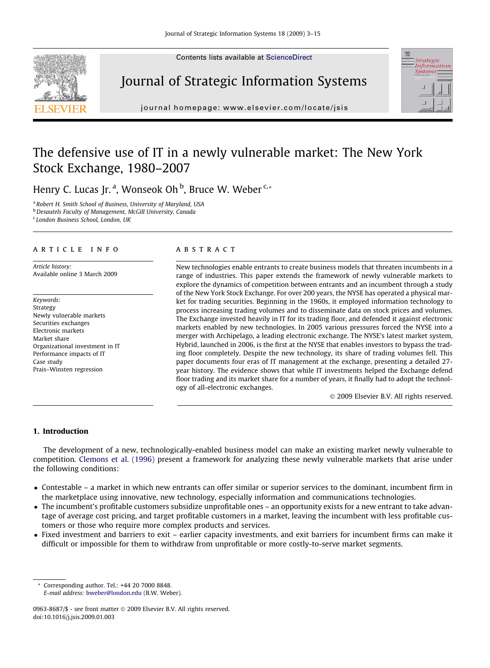Contents lists available at [ScienceDirect](http://www.sciencedirect.com/science/journal/09638687)







journal homepage: [www.elsevier.com/locate/jsis](http://www.elsevier.com/locate/jsis)

## The defensive use of IT in a newly vulnerable market: The New York Stock Exchange, 1980–2007

Henry C. Lucas Jr.ª, Wonseok Oh <sup>b</sup>, Bruce W. Weber <sup>c,</sup>\*

a Robert H. Smith School of Business, University of Maryland, USA

**b** Desautels Faculty of Management, McGill University, Canada

<sup>c</sup> London Business School, London, UK

#### article info

Article history: Available online 3 March 2009

Keywords: Strategy Newly vulnerable markets Securities exchanges Electronic markets Market share Organizational investment in IT Performance impacts of IT Case study Prais–Winsten regression

### **ABSTRACT**

New technologies enable entrants to create business models that threaten incumbents in a range of industries. This paper extends the framework of newly vulnerable markets to explore the dynamics of competition between entrants and an incumbent through a study of the New York Stock Exchange. For over 200 years, the NYSE has operated a physical market for trading securities. Beginning in the 1960s, it employed information technology to process increasing trading volumes and to disseminate data on stock prices and volumes. The Exchange invested heavily in IT for its trading floor, and defended it against electronic markets enabled by new technologies. In 2005 various pressures forced the NYSE into a merger with Archipelago, a leading electronic exchange. The NYSE's latest market system, Hybrid, launched in 2006, is the first at the NYSE that enables investors to bypass the trading floor completely. Despite the new technology, its share of trading volumes fell. This paper documents four eras of IT management at the exchange, presenting a detailed 27 year history. The evidence shows that while IT investments helped the Exchange defend floor trading and its market share for a number of years, it finally had to adopt the technology of all-electronic exchanges.

© 2009 Elsevier B.V. All rights reserved.

#### 1. Introduction

The development of a new, technologically-enabled business model can make an existing market newly vulnerable to competition. [Clemons et al. \(1996\)](#page--1-0) present a framework for analyzing these newly vulnerable markets that arise under the following conditions:

- Contestable a market in which new entrants can offer similar or superior services to the dominant, incumbent firm in the marketplace using innovative, new technology, especially information and communications technologies.
- The incumbent's profitable customers subsidize unprofitable ones an opportunity exists for a new entrant to take advantage of average cost pricing, and target profitable customers in a market, leaving the incumbent with less profitable customers or those who require more complex products and services.
- Fixed investment and barriers to exit earlier capacity investments, and exit barriers for incumbent firms can make it difficult or impossible for them to withdraw from unprofitable or more costly-to-serve market segments.

<sup>\*</sup> Corresponding author. Tel.: +44 20 7000 8848. E-mail address: [bweber@london.edu](mailto:bweber@london.edu) (B.W. Weber).

<sup>0963-8687/\$ -</sup> see front matter © 2009 Elsevier B.V. All rights reserved. doi:10.1016/j.jsis.2009.01.003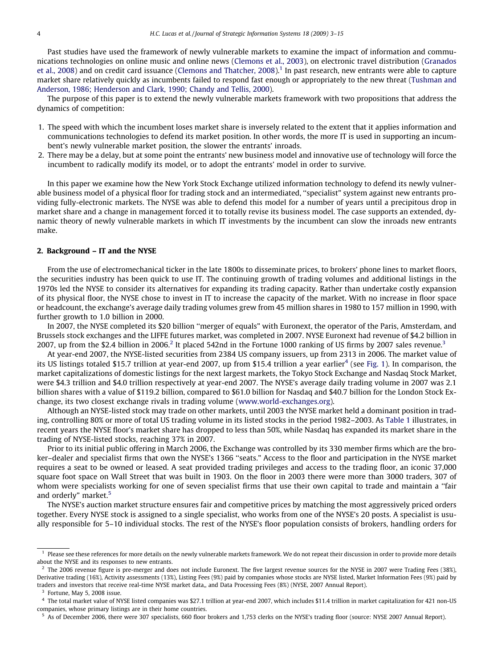Past studies have used the framework of newly vulnerable markets to examine the impact of information and communications technologies on online music and online news [\(Clemons et al., 2003\)](#page--1-0), on electronic travel distribution ([Granados](#page--1-0) [et al., 2008\)](#page--1-0) and on credit card issuance ([Clemons and Thatcher, 2008\)](#page--1-0).<sup>1</sup> In past research, new entrants were able to capture market share relatively quickly as incumbents failed to respond fast enough or appropriately to the new threat [\(Tushman and](#page--1-0) [Anderson, 1986; Henderson and Clark, 1990; Chandy and Tellis, 2000\)](#page--1-0).

The purpose of this paper is to extend the newly vulnerable markets framework with two propositions that address the dynamics of competition:

- 1. The speed with which the incumbent loses market share is inversely related to the extent that it applies information and communications technologies to defend its market position. In other words, the more IT is used in supporting an incumbent's newly vulnerable market position, the slower the entrants' inroads.
- 2. There may be a delay, but at some point the entrants' new business model and innovative use of technology will force the incumbent to radically modify its model, or to adopt the entrants' model in order to survive.

In this paper we examine how the New York Stock Exchange utilized information technology to defend its newly vulnerable business model of a physical floor for trading stock and an intermediated, ''specialist" system against new entrants providing fully-electronic markets. The NYSE was able to defend this model for a number of years until a precipitous drop in market share and a change in management forced it to totally revise its business model. The case supports an extended, dynamic theory of newly vulnerable markets in which IT investments by the incumbent can slow the inroads new entrants make.

#### 2. Background – IT and the NYSE

From the use of electromechanical ticker in the late 1800s to disseminate prices, to brokers' phone lines to market floors, the securities industry has been quick to use IT. The continuing growth of trading volumes and additional listings in the 1970s led the NYSE to consider its alternatives for expanding its trading capacity. Rather than undertake costly expansion of its physical floor, the NYSE chose to invest in IT to increase the capacity of the market. With no increase in floor space or headcount, the exchange's average daily trading volumes grew from 45 million shares in 1980 to 157 million in 1990, with further growth to 1.0 billion in 2000.

In 2007, the NYSE completed its \$20 billion ''merger of equals" with Euronext, the operator of the Paris, Amsterdam, and Brussels stock exchanges and the LIFFE futures market, was completed in 2007. NYSE Euronext had revenue of \$4.2 billion in 2007, up from the \$2.4 billion in 2006.<sup>2</sup> It placed 542nd in the Fortune 1000 ranking of US firms by 2007 sales revenue.<sup>3</sup>

At year-end 2007, the NYSE-listed securities from 2384 US company issuers, up from 2313 in 2006. The market value of its US listings totaled \$15.7 trillion at year-end 2007, up from \$15.4 trillion a year earlier<sup>4</sup> (see [Fig. 1](#page--1-0)). In comparison, the market capitalizations of domestic listings for the next largest markets, the Tokyo Stock Exchange and Nasdaq Stock Market, were \$4.3 trillion and \$4.0 trillion respectively at year-end 2007. The NYSE's average daily trading volume in 2007 was 2.1 billion shares with a value of \$119.2 billion, compared to \$61.0 billion for Nasdaq and \$40.7 billion for the London Stock Exchange, its two closest exchange rivals in trading volume [\(www.world-exchanges.org\)](http://www.world-exchanges.org).

Although an NYSE-listed stock may trade on other markets, until 2003 the NYSE market held a dominant position in trading, controlling 80% or more of total US trading volume in its listed stocks in the period 1982–2003. As [Table 1](#page--1-0) illustrates, in recent years the NYSE floor's market share has dropped to less than 50%, while Nasdaq has expanded its market share in the trading of NYSE-listed stocks, reaching 37% in 2007.

Prior to its initial public offering in March 2006, the Exchange was controlled by its 330 member firms which are the broker–dealer and specialist firms that own the NYSE's 1366 ''seats." Access to the floor and participation in the NYSE market requires a seat to be owned or leased. A seat provided trading privileges and access to the trading floor, an iconic 37,000 square foot space on Wall Street that was built in 1903. On the floor in 2003 there were more than 3000 traders, 307 of whom were specialists working for one of seven specialist firms that use their own capital to trade and maintain a ''fair and orderly" market.<sup>5</sup>

The NYSE's auction market structure ensures fair and competitive prices by matching the most aggressively priced orders together. Every NYSE stock is assigned to a single specialist, who works from one of the NYSE's 20 posts. A specialist is usually responsible for 5–10 individual stocks. The rest of the NYSE's floor population consists of brokers, handling orders for

<sup>&</sup>lt;sup>1</sup> Please see these references for more details on the newly vulnerable markets framework. We do not repeat their discussion in order to provide more details about the NYSE and its responses to new entrants.

<sup>2</sup> The 2006 revenue figure is pre-merger and does not include Euronext. The five largest revenue sources for the NYSE in 2007 were Trading Fees (38%), Derivative trading (16%), Activity assessments (13%), Listing Fees (9%) paid by companies whose stocks are NYSE listed, Market Information Fees (9%) paid by traders and investors that receive real-time NYSE market data,, and Data Processing Fees (8%) (NYSE, 2007 Annual Report).

Fortune, May 5, 2008 issue.

<sup>4</sup> The total market value of NYSE listed companies was \$27.1 trillion at year-end 2007, which includes \$11.4 trillion in market capitalization for 421 non-US companies, whose primary listings are in their home countries.

<sup>&</sup>lt;sup>5</sup> As of December 2006, there were 307 specialists, 660 floor brokers and 1,753 clerks on the NYSE's trading floor (source: NYSE 2007 Annual Report).